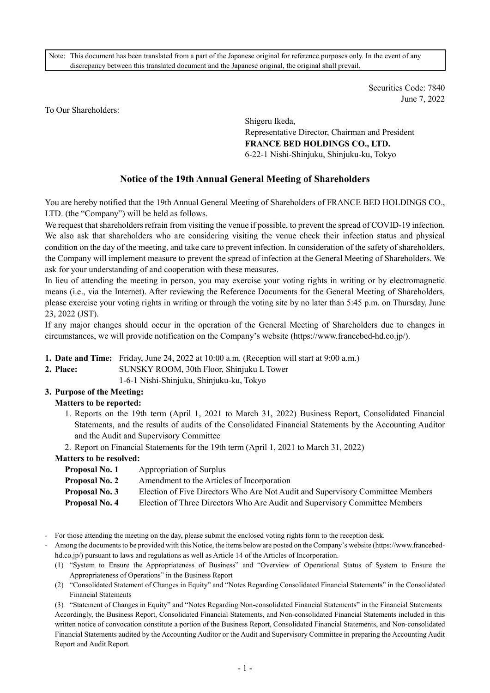Note: This document has been translated from a part of the Japanese original for reference purposes only. In the event of any discrepancy between this translated document and the Japanese original, the original shall prevail.

> Securities Code: 7840 June 7, 2022

To Our Shareholders:

Shigeru Ikeda, Representative Director, Chairman and President FRANCE BED HOLDINGS CO., LTD. 6-22-1 Nishi-Shinjuku, Shinjuku-ku, Tokyo

# Notice of the 19th Annual General Meeting of Shareholders

You are hereby notified that the 19th Annual General Meeting of Shareholders of FRANCE BED HOLDINGS CO., LTD. (the "Company") will be held as follows.

We request that shareholders refrain from visiting the venue if possible, to prevent the spread of COVID-19 infection. We also ask that shareholders who are considering visiting the venue check their infection status and physical condition on the day of the meeting, and take care to prevent infection. In consideration of the safety of shareholders, the Company will implement measure to prevent the spread of infection at the General Meeting of Shareholders. We ask for your understanding of and cooperation with these measures.

In lieu of attending the meeting in person, you may exercise your voting rights in writing or by electromagnetic means (i.e., via the Internet). After reviewing the Reference Documents for the General Meeting of Shareholders, please exercise your voting rights in writing or through the voting site by no later than 5:45 p.m. on Thursday, June 23, 2022 (JST).

If any major changes should occur in the operation of the General Meeting of Shareholders due to changes in circumstances, we will provide notification on the Company's website (https://www.francebed-hd.co.jp/).

- 1. Date and Time: Friday, June 24, 2022 at 10:00 a.m. (Reception will start at 9:00 a.m.)
- 2. Place: SUNSKY ROOM, 30th Floor, Shinjuku L Tower

1-6-1 Nishi-Shinjuku, Shinjuku-ku, Tokyo

## 3. Purpose of the Meeting:

#### Matters to be reported:

1. Reports on the 19th term (April 1, 2021 to March 31, 2022) Business Report, Consolidated Financial Statements, and the results of audits of the Consolidated Financial Statements by the Accounting Auditor and the Audit and Supervisory Committee

2. Report on Financial Statements for the 19th term (April 1, 2021 to March 31, 2022)

#### Matters to be resolved:

| Proposal No. 1 | Appropriation of Surplus                                                       |
|----------------|--------------------------------------------------------------------------------|
| Proposal No. 2 | Amendment to the Articles of Incorporation                                     |
| Proposal No. 3 | Election of Five Directors Who Are Not Audit and Supervisory Committee Members |
| Proposal No. 4 | Election of Three Directors Who Are Audit and Supervisory Committee Members    |

- For those attending the meeting on the day, please submit the enclosed voting rights form to the reception desk.

- Among the documents to be provided with this Notice, the items below are posted on the Company's website (https://www.francebedhd.co.jp/) pursuant to laws and regulations as well as Article 14 of the Articles of Incorporation.
	- (1) "System to Ensure the Appropriateness of Business" and "Overview of Operational Status of System to Ensure the Appropriateness of Operations" in the Business Report
	- (2) "Consolidated Statement of Changes in Equity" and "Notes Regarding Consolidated Financial Statements" in the Consolidated Financial Statements

(3) "Statement of Changes in Equity" and "Notes Regarding Non-consolidated Financial Statements" in the Financial Statements Accordingly, the Business Report, Consolidated Financial Statements, and Non-consolidated Financial Statements included in this written notice of convocation constitute a portion of the Business Report, Consolidated Financial Statements, and Non-consolidated Financial Statements audited by the Accounting Auditor or the Audit and Supervisory Committee in preparing the Accounting Audit Report and Audit Report.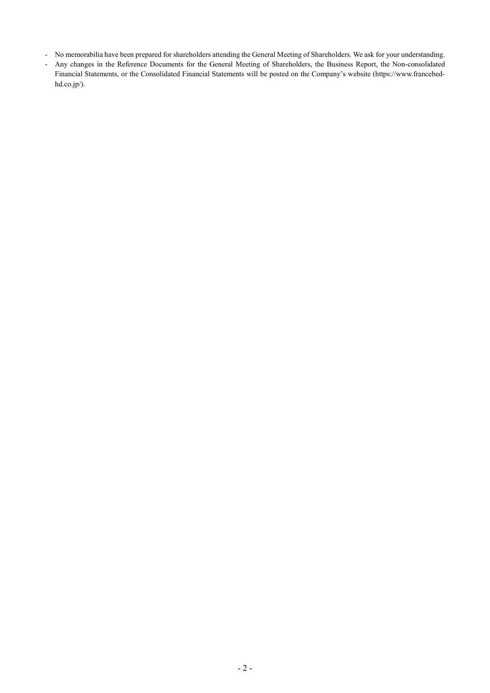- No memorabilia have been prepared for shareholders attending the General Meeting of Shareholders. We ask for your understanding.
- Any changes in the Reference Documents for the General Meeting of Shareholders, the Business Report, the Non-consolidated Financial Statements, or the Consolidated Financial Statements will be posted on the Company's website (https://www.francebedhd.co.jp/).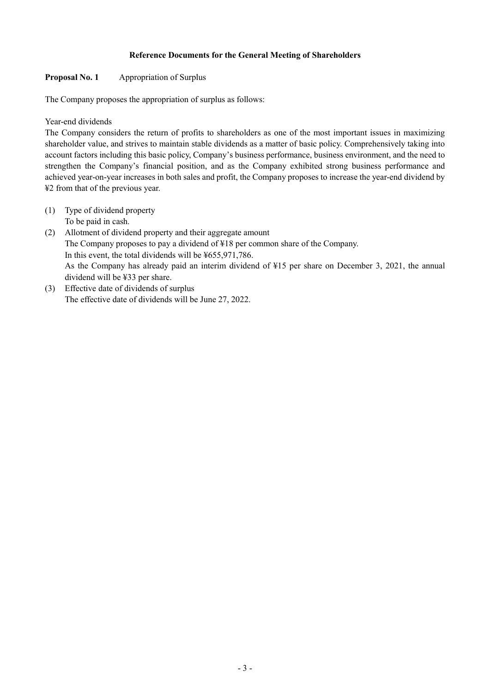### Reference Documents for the General Meeting of Shareholders

### Proposal No. 1 Appropriation of Surplus

The Company proposes the appropriation of surplus as follows:

#### Year-end dividends

The Company considers the return of profits to shareholders as one of the most important issues in maximizing shareholder value, and strives to maintain stable dividends as a matter of basic policy. Comprehensively taking into account factors including this basic policy, Company's business performance, business environment, and the need to strengthen the Company's financial position, and as the Company exhibited strong business performance and achieved year-on-year increases in both sales and profit, the Company proposes to increase the year-end dividend by ¥2 from that of the previous year.

- (1) Type of dividend property To be paid in cash.
- (2) Allotment of dividend property and their aggregate amount The Company proposes to pay a dividend of ¥18 per common share of the Company. In this event, the total dividends will be ¥655,971,786. As the Company has already paid an interim dividend of ¥15 per share on December 3, 2021, the annual dividend will be ¥33 per share.
- (3) Effective date of dividends of surplus The effective date of dividends will be June 27, 2022.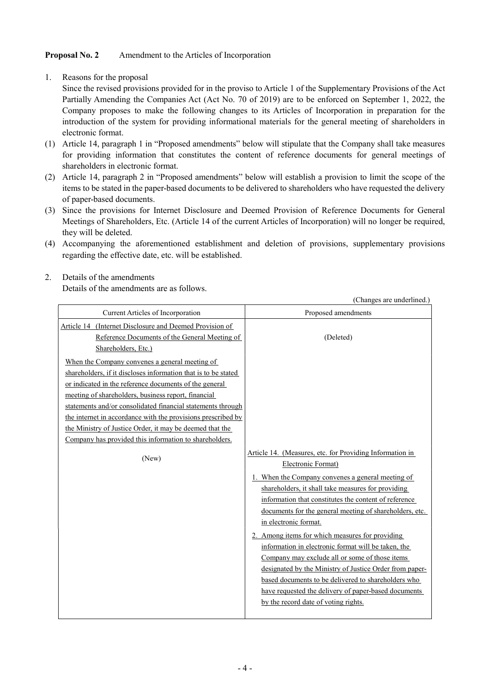## Proposal No. 2 Amendment to the Articles of Incorporation

1. Reasons for the proposal

Since the revised provisions provided for in the proviso to Article 1 of the Supplementary Provisions of the Act Partially Amending the Companies Act (Act No. 70 of 2019) are to be enforced on September 1, 2022, the Company proposes to make the following changes to its Articles of Incorporation in preparation for the introduction of the system for providing informational materials for the general meeting of shareholders in electronic format.

- (1) Article 14, paragraph 1 in "Proposed amendments" below will stipulate that the Company shall take measures for providing information that constitutes the content of reference documents for general meetings of shareholders in electronic format.
- (2) Article 14, paragraph 2 in "Proposed amendments" below will establish a provision to limit the scope of the items to be stated in the paper-based documents to be delivered to shareholders who have requested the delivery of paper-based documents.
- (3) Since the provisions for Internet Disclosure and Deemed Provision of Reference Documents for General Meetings of Shareholders, Etc. (Article 14 of the current Articles of Incorporation) will no longer be required, they will be deleted.
- (4) Accompanying the aforementioned establishment and deletion of provisions, supplementary provisions regarding the effective date, etc. will be established.

(Changes are underlined.)

2. Details of the amendments Details of the amendments are as follows.

| Current Articles of Incorporation                                                                                | Proposed amendments                                                                                    |
|------------------------------------------------------------------------------------------------------------------|--------------------------------------------------------------------------------------------------------|
| Article 14 (Internet Disclosure and Deemed Provision of                                                          |                                                                                                        |
| Reference Documents of the General Meeting of                                                                    | (Deleted)                                                                                              |
| Shareholders, Etc.)                                                                                              |                                                                                                        |
| When the Company convenes a general meeting of<br>shareholders, if it discloses information that is to be stated |                                                                                                        |
| or indicated in the reference documents of the general<br>meeting of shareholders, business report, financial    |                                                                                                        |
| statements and/or consolidated financial statements through                                                      |                                                                                                        |
| the internet in accordance with the provisions prescribed by                                                     |                                                                                                        |
| the Ministry of Justice Order, it may be deemed that the                                                         |                                                                                                        |
| Company has provided this information to shareholders.                                                           |                                                                                                        |
| (New)                                                                                                            | Article 14. (Measures, etc. for Providing Information in<br>Electronic Format)                         |
|                                                                                                                  | 1. When the Company convenes a general meeting of                                                      |
|                                                                                                                  | shareholders, it shall take measures for providing                                                     |
|                                                                                                                  | information that constitutes the content of reference                                                  |
|                                                                                                                  | documents for the general meeting of shareholders, etc.<br>in electronic format.                       |
|                                                                                                                  |                                                                                                        |
|                                                                                                                  | 2. Among items for which measures for providing<br>information in electronic format will be taken, the |
|                                                                                                                  | Company may exclude all or some of those items                                                         |
|                                                                                                                  | designated by the Ministry of Justice Order from paper-                                                |
|                                                                                                                  | based documents to be delivered to shareholders who                                                    |
|                                                                                                                  | have requested the delivery of paper-based documents                                                   |
|                                                                                                                  | by the record date of voting rights.                                                                   |
|                                                                                                                  |                                                                                                        |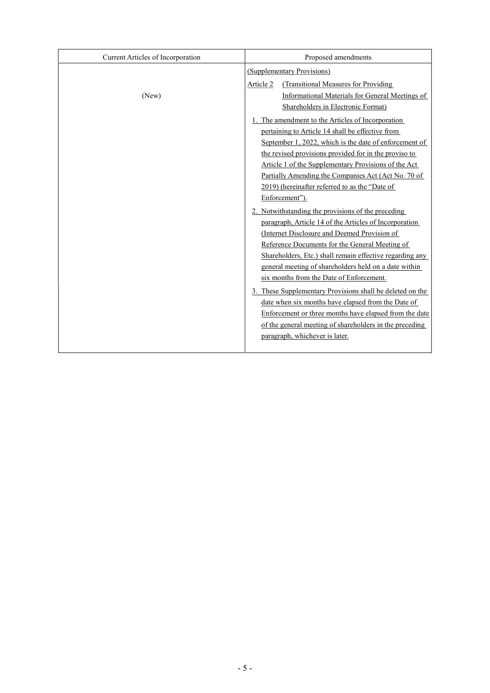| Current Articles of Incorporation<br>Proposed amendments |                                                                                                |
|----------------------------------------------------------|------------------------------------------------------------------------------------------------|
|                                                          | (Supplementary Provisions)                                                                     |
|                                                          | (Transitional Measures for Providing<br>Article 2                                              |
| (New)                                                    | Informational Materials for General Meetings of                                                |
|                                                          | Shareholders in Electronic Format)                                                             |
|                                                          | The amendment to the Articles of Incorporation                                                 |
|                                                          | pertaining to Article 14 shall be effective from                                               |
|                                                          | September 1, 2022, which is the date of enforcement of                                         |
|                                                          | the revised provisions provided for in the proviso to                                          |
|                                                          | Article 1 of the Supplementary Provisions of the Act                                           |
|                                                          | Partially Amending the Companies Act (Act No. 70 of                                            |
|                                                          | 2019) (hereinafter referred to as the "Date of                                                 |
|                                                          | Enforcement").                                                                                 |
|                                                          | 2. Notwithstanding the provisions of the preceding                                             |
|                                                          | paragraph, Article 14 of the Articles of Incorporation                                         |
|                                                          | (Internet Disclosure and Deemed Provision of<br>Reference Documents for the General Meeting of |
|                                                          | Shareholders, Etc.) shall remain effective regarding any                                       |
|                                                          | general meeting of shareholders held on a date within                                          |
|                                                          | six months from the Date of Enforcement.                                                       |
|                                                          | 3. These Supplementary Provisions shall be deleted on the                                      |
|                                                          | date when six months have elapsed from the Date of                                             |
|                                                          | Enforcement or three months have elapsed from the date                                         |
|                                                          | of the general meeting of shareholders in the preceding                                        |
|                                                          | paragraph, whichever is later.                                                                 |
|                                                          |                                                                                                |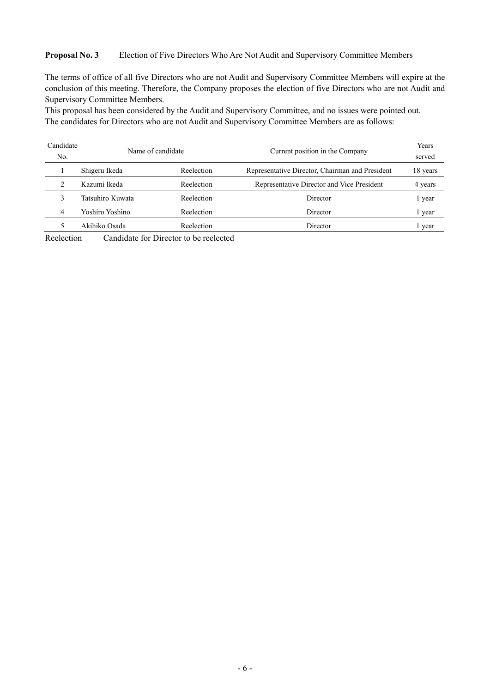#### Proposal No. 3 Election of Five Directors Who Are Not Audit and Supervisory Committee Members

The terms of office of all five Directors who are not Audit and Supervisory Committee Members will expire at the conclusion of this meeting. Therefore, the Company proposes the election of five Directors who are not Audit and Supervisory Committee Members.

This proposal has been considered by the Audit and Supervisory Committee, and no issues were pointed out. The candidates for Directors who are not Audit and Supervisory Committee Members are as follows:

| Candidate<br>No. | Name of candidate    |            | Current position in the Company                 | Years<br>served |
|------------------|----------------------|------------|-------------------------------------------------|-----------------|
|                  | Shigeru Ikeda        | Reelection | Representative Director, Chairman and President | 18 years        |
|                  | Kazumi Ikeda         | Reelection | Representative Director and Vice President      | 4 years         |
|                  | Tatsuhiro Kuwata     | Reelection | Director                                        | 1 year          |
| 4                | Yoshiro Yoshino      | Reelection | Director                                        | l year          |
|                  | Akihiko Osada        | Reelection | Director                                        | 1 year          |
|                  | $\sim$ $\sim$ $\sim$ |            |                                                 |                 |

Reelection Candidate for Director to be reelected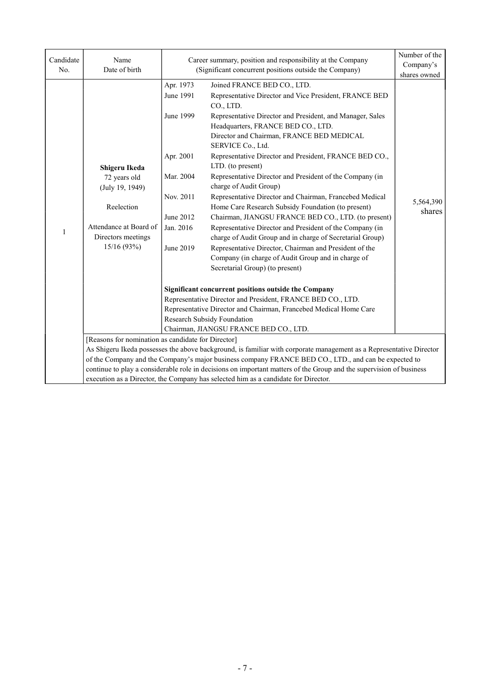| Candidate<br>No. | Name<br>Date of birth                                                                                                                                                                                                                                                                                                                                                                                                                                                                          | Career summary, position and responsibility at the Company<br>(Significant concurrent positions outside the Company) |                                                                                                                                                                                                                                                                                                                                                                                                                                                                                                                                                                                                                                                                                                                                                                                                                                                                                                                                                                                                                                                                                                                                                                       | Number of the<br>Company's<br>shares owned |
|------------------|------------------------------------------------------------------------------------------------------------------------------------------------------------------------------------------------------------------------------------------------------------------------------------------------------------------------------------------------------------------------------------------------------------------------------------------------------------------------------------------------|----------------------------------------------------------------------------------------------------------------------|-----------------------------------------------------------------------------------------------------------------------------------------------------------------------------------------------------------------------------------------------------------------------------------------------------------------------------------------------------------------------------------------------------------------------------------------------------------------------------------------------------------------------------------------------------------------------------------------------------------------------------------------------------------------------------------------------------------------------------------------------------------------------------------------------------------------------------------------------------------------------------------------------------------------------------------------------------------------------------------------------------------------------------------------------------------------------------------------------------------------------------------------------------------------------|--------------------------------------------|
| $\mathbf{1}$     | Shigeru Ikeda<br>72 years old<br>(July 19, 1949)<br>Reelection<br>Attendance at Board of<br>Directors meetings<br>15/16 (93%)                                                                                                                                                                                                                                                                                                                                                                  | Apr. 1973<br>June 1991<br>June 1999<br>Apr. 2001<br>Mar. 2004<br>Nov. 2011<br>June 2012<br>Jan. 2016<br>June 2019    | Joined FRANCE BED CO., LTD.<br>Representative Director and Vice President, FRANCE BED<br>CO., LTD.<br>Representative Director and President, and Manager, Sales<br>Headquarters, FRANCE BED CO., LTD.<br>Director and Chairman, FRANCE BED MEDICAL<br>SERVICE Co., Ltd.<br>Representative Director and President, FRANCE BED CO.,<br>LTD. (to present)<br>Representative Director and President of the Company (in<br>charge of Audit Group)<br>Representative Director and Chairman, Francebed Medical<br>Home Care Research Subsidy Foundation (to present)<br>Chairman, JIANGSU FRANCE BED CO., LTD. (to present)<br>Representative Director and President of the Company (in<br>charge of Audit Group and in charge of Secretarial Group)<br>Representative Director, Chairman and President of the<br>Company (in charge of Audit Group and in charge of<br>Secretarial Group) (to present)<br>Significant concurrent positions outside the Company<br>Representative Director and President, FRANCE BED CO., LTD.<br>Representative Director and Chairman, Francebed Medical Home Care<br>Research Subsidy Foundation<br>Chairman, JIANGSU FRANCE BED CO., LTD. | 5,564,390<br>shares                        |
|                  | [Reasons for nomination as candidate for Director]<br>As Shigeru Ikeda possesses the above background, is familiar with corporate management as a Representative Director<br>of the Company and the Company's major business company FRANCE BED CO., LTD., and can be expected to<br>continue to play a considerable role in decisions on important matters of the Group and the supervision of business<br>execution as a Director, the Company has selected him as a candidate for Director. |                                                                                                                      |                                                                                                                                                                                                                                                                                                                                                                                                                                                                                                                                                                                                                                                                                                                                                                                                                                                                                                                                                                                                                                                                                                                                                                       |                                            |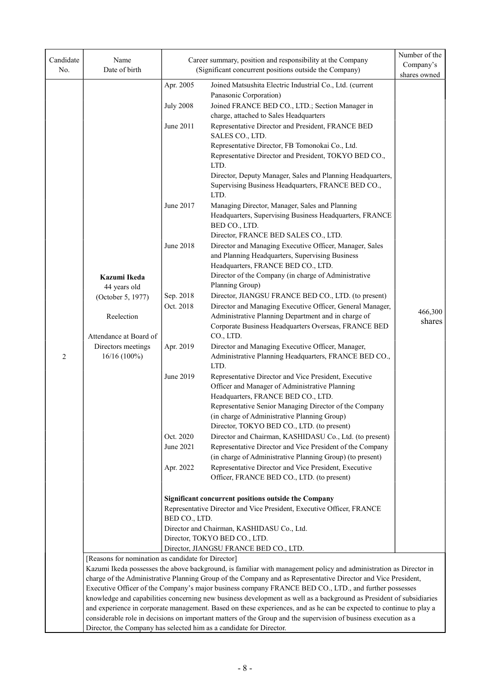| Date of birth<br>No.<br>(Significant concurrent positions outside the Company)<br>shares owned<br>Apr. 2005<br>Joined Matsushita Electric Industrial Co., Ltd. (current<br>Panasonic Corporation)<br>Joined FRANCE BED CO., LTD.; Section Manager in<br><b>July 2008</b><br>charge, attached to Sales Headquarters |
|--------------------------------------------------------------------------------------------------------------------------------------------------------------------------------------------------------------------------------------------------------------------------------------------------------------------|
|                                                                                                                                                                                                                                                                                                                    |
|                                                                                                                                                                                                                                                                                                                    |
|                                                                                                                                                                                                                                                                                                                    |
|                                                                                                                                                                                                                                                                                                                    |
| Representative Director and President, FRANCE BED<br>June 2011                                                                                                                                                                                                                                                     |
| SALES CO., LTD.                                                                                                                                                                                                                                                                                                    |
| Representative Director, FB Tomonokai Co., Ltd.                                                                                                                                                                                                                                                                    |
| Representative Director and President, TOKYO BED CO.,<br>LTD.                                                                                                                                                                                                                                                      |
| Director, Deputy Manager, Sales and Planning Headquarters,<br>Supervising Business Headquarters, FRANCE BED CO.,                                                                                                                                                                                                   |
| LTD.                                                                                                                                                                                                                                                                                                               |
| Managing Director, Manager, Sales and Planning<br>June 2017                                                                                                                                                                                                                                                        |
| Headquarters, Supervising Business Headquarters, FRANCE<br>BED CO., LTD.                                                                                                                                                                                                                                           |
| Director, FRANCE BED SALES CO., LTD.                                                                                                                                                                                                                                                                               |
| Director and Managing Executive Officer, Manager, Sales<br>June 2018                                                                                                                                                                                                                                               |
| and Planning Headquarters, Supervising Business                                                                                                                                                                                                                                                                    |
| Headquarters, FRANCE BED CO., LTD.                                                                                                                                                                                                                                                                                 |
| Director of the Company (in charge of Administrative<br>Kazumi Ikeda                                                                                                                                                                                                                                               |
| Planning Group)<br>44 years old                                                                                                                                                                                                                                                                                    |
| Sep. 2018<br>Director, JIANGSU FRANCE BED CO., LTD. (to present)<br>(October 5, 1977)                                                                                                                                                                                                                              |
| Director and Managing Executive Officer, General Manager,<br>Oct. 2018<br>466,300<br>Administrative Planning Department and in charge of                                                                                                                                                                           |
| Reelection<br>shares<br>Corporate Business Headquarters Overseas, FRANCE BED                                                                                                                                                                                                                                       |
| CO., LTD.<br>Attendance at Board of                                                                                                                                                                                                                                                                                |
| Directors meetings<br>Apr. 2019<br>Director and Managing Executive Officer, Manager,                                                                                                                                                                                                                               |
| $\sqrt{2}$<br>Administrative Planning Headquarters, FRANCE BED CO.,<br>16/16 (100%)<br>LTD.                                                                                                                                                                                                                        |
| June 2019<br>Representative Director and Vice President, Executive                                                                                                                                                                                                                                                 |
| Officer and Manager of Administrative Planning                                                                                                                                                                                                                                                                     |
| Headquarters, FRANCE BED CO., LTD.                                                                                                                                                                                                                                                                                 |
| Representative Senior Managing Director of the Company                                                                                                                                                                                                                                                             |
| (in charge of Administrative Planning Group)<br>Director, TOKYO BED CO., LTD. (to present)                                                                                                                                                                                                                         |
| Oct. 2020<br>Director and Chairman, KASHIDASU Co., Ltd. (to present)                                                                                                                                                                                                                                               |
| Representative Director and Vice President of the Company<br>June 2021                                                                                                                                                                                                                                             |
| (in charge of Administrative Planning Group) (to present)                                                                                                                                                                                                                                                          |
| Representative Director and Vice President, Executive<br>Apr. 2022                                                                                                                                                                                                                                                 |
| Officer, FRANCE BED CO., LTD. (to present)                                                                                                                                                                                                                                                                         |
| Significant concurrent positions outside the Company                                                                                                                                                                                                                                                               |
| Representative Director and Vice President, Executive Officer, FRANCE                                                                                                                                                                                                                                              |
| BED CO., LTD.                                                                                                                                                                                                                                                                                                      |
| Director and Chairman, KASHIDASU Co., Ltd.                                                                                                                                                                                                                                                                         |
| Director, TOKYO BED CO., LTD.                                                                                                                                                                                                                                                                                      |
| Director, JIANGSU FRANCE BED CO., LTD.                                                                                                                                                                                                                                                                             |
| [Reasons for nomination as candidate for Director]<br>Kazumi Ikeda possesses the above background, is familiar with management policy and administration as Director in                                                                                                                                            |
| charge of the Administrative Planning Group of the Company and as Representative Director and Vice President,                                                                                                                                                                                                      |
| Executive Officer of the Company's major business company FRANCE BED CO., LTD., and further possesses                                                                                                                                                                                                              |
| knowledge and capabilities concerning new business development as well as a background as President of subsidiaries                                                                                                                                                                                                |
| and experience in corporate management. Based on these experiences, and as he can be expected to continue to play a                                                                                                                                                                                                |
| considerable role in decisions on important matters of the Group and the supervision of business execution as a<br>Director, the Company has selected him as a candidate for Director.                                                                                                                             |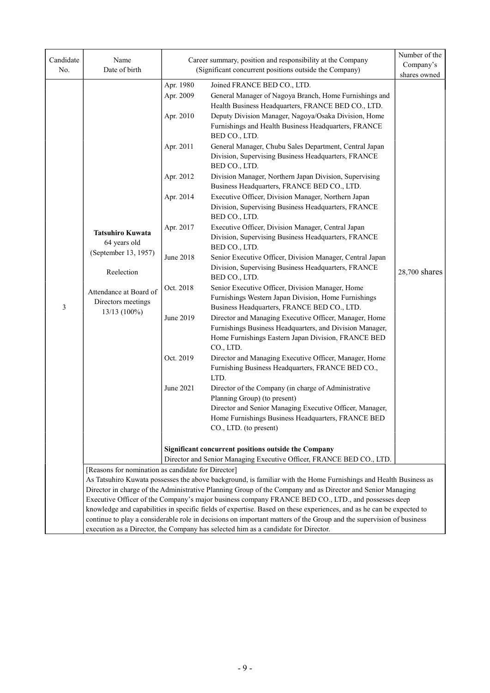| Candidate<br>No. | Name<br>Date of birth                                                                                                                         | Career summary, position and responsibility at the Company<br>(Significant concurrent positions outside the Company)                                                                                                                                                                                                                                                                                                                                                                                                                                                                                                                                                                                                                                                                                                                                                                                                                                                                                                                                                                                                                                                                                                                                                                                                                                                                                                                                                                                                                                                                                                                                                                                                                                                                                  | Number of the<br>Company's<br>shares owned |
|------------------|-----------------------------------------------------------------------------------------------------------------------------------------------|-------------------------------------------------------------------------------------------------------------------------------------------------------------------------------------------------------------------------------------------------------------------------------------------------------------------------------------------------------------------------------------------------------------------------------------------------------------------------------------------------------------------------------------------------------------------------------------------------------------------------------------------------------------------------------------------------------------------------------------------------------------------------------------------------------------------------------------------------------------------------------------------------------------------------------------------------------------------------------------------------------------------------------------------------------------------------------------------------------------------------------------------------------------------------------------------------------------------------------------------------------------------------------------------------------------------------------------------------------------------------------------------------------------------------------------------------------------------------------------------------------------------------------------------------------------------------------------------------------------------------------------------------------------------------------------------------------------------------------------------------------------------------------------------------------|--------------------------------------------|
| $\mathfrak{Z}$   | <b>Tatsuhiro Kuwata</b><br>64 years old<br>(September 13, 1957)<br>Reelection<br>Attendance at Board of<br>Directors meetings<br>13/13 (100%) | Apr. 1980<br>Joined FRANCE BED CO., LTD.<br>Apr. 2009<br>General Manager of Nagoya Branch, Home Furnishings and<br>Health Business Headquarters, FRANCE BED CO., LTD.<br>Deputy Division Manager, Nagoya/Osaka Division, Home<br>Apr. 2010<br>Furnishings and Health Business Headquarters, FRANCE<br>BED CO., LTD.<br>Apr. 2011<br>General Manager, Chubu Sales Department, Central Japan<br>Division, Supervising Business Headquarters, FRANCE<br>BED CO., LTD.<br>Apr. 2012<br>Division Manager, Northern Japan Division, Supervising<br>Business Headquarters, FRANCE BED CO., LTD.<br>Apr. 2014<br>Executive Officer, Division Manager, Northern Japan<br>Division, Supervising Business Headquarters, FRANCE<br>BED CO., LTD.<br>Executive Officer, Division Manager, Central Japan<br>Apr. 2017<br>Division, Supervising Business Headquarters, FRANCE<br>BED CO., LTD.<br>June 2018<br>Senior Executive Officer, Division Manager, Central Japan<br>Division, Supervising Business Headquarters, FRANCE<br>BED CO., LTD.<br>Oct. 2018<br>Senior Executive Officer, Division Manager, Home<br>Furnishings Western Japan Division, Home Furnishings<br>Business Headquarters, FRANCE BED CO., LTD.<br>Director and Managing Executive Officer, Manager, Home<br>June 2019<br>Furnishings Business Headquarters, and Division Manager,<br>Home Furnishings Eastern Japan Division, FRANCE BED<br>CO., LTD.<br>Oct. 2019<br>Director and Managing Executive Officer, Manager, Home<br>Furnishing Business Headquarters, FRANCE BED CO.,<br>LTD.<br>June 2021<br>Director of the Company (in charge of Administrative<br>Planning Group) (to present)<br>Director and Senior Managing Executive Officer, Manager,<br>Home Furnishings Business Headquarters, FRANCE BED<br>CO., LTD. (to present) | 28,700 shares                              |
|                  |                                                                                                                                               | Significant concurrent positions outside the Company<br>Director and Senior Managing Executive Officer, FRANCE BED CO., LTD.                                                                                                                                                                                                                                                                                                                                                                                                                                                                                                                                                                                                                                                                                                                                                                                                                                                                                                                                                                                                                                                                                                                                                                                                                                                                                                                                                                                                                                                                                                                                                                                                                                                                          |                                            |
|                  | [Reasons for nomination as candidate for Director]                                                                                            | As Tatsuhiro Kuwata possesses the above background, is familiar with the Home Furnishings and Health Business as<br>Director in charge of the Administrative Planning Group of the Company and as Director and Senior Managing<br>Executive Officer of the Company's major business company FRANCE BED CO., LTD., and possesses deep<br>knowledge and capabilities in specific fields of expertise. Based on these experiences, and as he can be expected to<br>continue to play a considerable role in decisions on important matters of the Group and the supervision of business<br>execution as a Director, the Company has selected him as a candidate for Director.                                                                                                                                                                                                                                                                                                                                                                                                                                                                                                                                                                                                                                                                                                                                                                                                                                                                                                                                                                                                                                                                                                                             |                                            |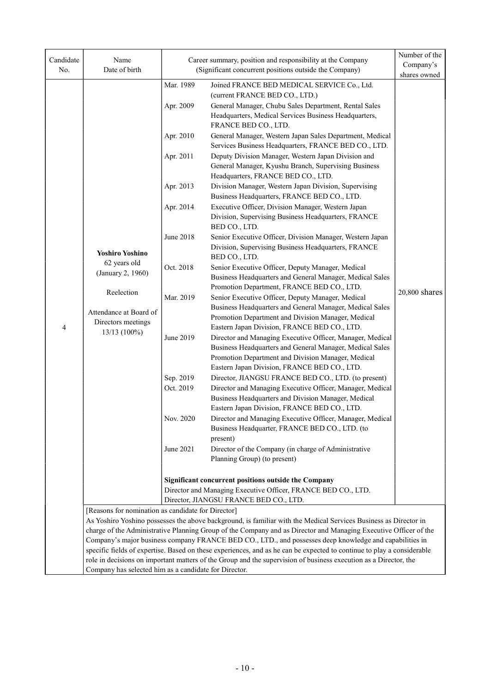| Candidate<br>No. | Name<br>Date of birth                                 | Career summary, position and responsibility at the Company<br>(Significant concurrent positions outside the Company) |                                                                                                                                                                                                                                            | Number of the<br>Company's |
|------------------|-------------------------------------------------------|----------------------------------------------------------------------------------------------------------------------|--------------------------------------------------------------------------------------------------------------------------------------------------------------------------------------------------------------------------------------------|----------------------------|
|                  |                                                       |                                                                                                                      |                                                                                                                                                                                                                                            | shares owned               |
|                  |                                                       | Mar. 1989                                                                                                            | Joined FRANCE BED MEDICAL SERVICE Co., Ltd.                                                                                                                                                                                                |                            |
|                  |                                                       |                                                                                                                      | (current FRANCE BED CO., LTD.)                                                                                                                                                                                                             |                            |
|                  |                                                       | Apr. 2009                                                                                                            | General Manager, Chubu Sales Department, Rental Sales                                                                                                                                                                                      |                            |
|                  |                                                       |                                                                                                                      | Headquarters, Medical Services Business Headquarters,                                                                                                                                                                                      |                            |
|                  |                                                       |                                                                                                                      | FRANCE BED CO., LTD.                                                                                                                                                                                                                       |                            |
|                  |                                                       | Apr. 2010                                                                                                            | General Manager, Western Japan Sales Department, Medical                                                                                                                                                                                   |                            |
|                  |                                                       |                                                                                                                      | Services Business Headquarters, FRANCE BED CO., LTD.                                                                                                                                                                                       |                            |
|                  |                                                       | Apr. 2011                                                                                                            | Deputy Division Manager, Western Japan Division and<br>General Manager, Kyushu Branch, Supervising Business                                                                                                                                |                            |
|                  |                                                       |                                                                                                                      | Headquarters, FRANCE BED CO., LTD.                                                                                                                                                                                                         |                            |
|                  |                                                       | Apr. 2013                                                                                                            | Division Manager, Western Japan Division, Supervising                                                                                                                                                                                      |                            |
|                  |                                                       |                                                                                                                      | Business Headquarters, FRANCE BED CO., LTD.                                                                                                                                                                                                |                            |
|                  |                                                       | Apr. 2014                                                                                                            | Executive Officer, Division Manager, Western Japan                                                                                                                                                                                         |                            |
|                  |                                                       |                                                                                                                      | Division, Supervising Business Headquarters, FRANCE<br>BED CO., LTD.                                                                                                                                                                       |                            |
|                  |                                                       | June 2018                                                                                                            | Senior Executive Officer, Division Manager, Western Japan                                                                                                                                                                                  |                            |
|                  | <b>Yoshiro Yoshino</b>                                |                                                                                                                      | Division, Supervising Business Headquarters, FRANCE<br>BED CO., LTD.                                                                                                                                                                       |                            |
|                  | 62 years old                                          | Oct. 2018                                                                                                            | Senior Executive Officer, Deputy Manager, Medical                                                                                                                                                                                          |                            |
|                  | (January 2, 1960)                                     |                                                                                                                      | Business Headquarters and General Manager, Medical Sales                                                                                                                                                                                   |                            |
|                  |                                                       |                                                                                                                      | Promotion Department, FRANCE BED CO., LTD.                                                                                                                                                                                                 | 20,800 shares              |
|                  | Reelection                                            | Mar. 2019                                                                                                            | Senior Executive Officer, Deputy Manager, Medical                                                                                                                                                                                          |                            |
|                  | Attendance at Board of                                |                                                                                                                      | Business Headquarters and General Manager, Medical Sales                                                                                                                                                                                   |                            |
|                  | Directors meetings<br>13/13 (100%)                    |                                                                                                                      | Promotion Department and Division Manager, Medical                                                                                                                                                                                         |                            |
| 4                |                                                       |                                                                                                                      | Eastern Japan Division, FRANCE BED CO., LTD.                                                                                                                                                                                               |                            |
|                  |                                                       | June 2019                                                                                                            | Director and Managing Executive Officer, Manager, Medical                                                                                                                                                                                  |                            |
|                  |                                                       |                                                                                                                      | Business Headquarters and General Manager, Medical Sales                                                                                                                                                                                   |                            |
|                  |                                                       |                                                                                                                      | Promotion Department and Division Manager, Medical                                                                                                                                                                                         |                            |
|                  |                                                       |                                                                                                                      | Eastern Japan Division, FRANCE BED CO., LTD.                                                                                                                                                                                               |                            |
|                  |                                                       | Sep. 2019                                                                                                            | Director, JIANGSU FRANCE BED CO., LTD. (to present)                                                                                                                                                                                        |                            |
|                  |                                                       | Oct. 2019                                                                                                            | Director and Managing Executive Officer, Manager, Medical<br>Business Headquarters and Division Manager, Medical                                                                                                                           |                            |
|                  |                                                       |                                                                                                                      | Eastern Japan Division, FRANCE BED CO., LTD.                                                                                                                                                                                               |                            |
|                  |                                                       | Nov. 2020                                                                                                            | Director and Managing Executive Officer, Manager, Medical                                                                                                                                                                                  |                            |
|                  |                                                       |                                                                                                                      | Business Headquarter, FRANCE BED CO., LTD. (to                                                                                                                                                                                             |                            |
|                  |                                                       |                                                                                                                      | present)                                                                                                                                                                                                                                   |                            |
|                  |                                                       | June 2021                                                                                                            | Director of the Company (in charge of Administrative                                                                                                                                                                                       |                            |
|                  |                                                       |                                                                                                                      | Planning Group) (to present)                                                                                                                                                                                                               |                            |
|                  |                                                       |                                                                                                                      | Significant concurrent positions outside the Company                                                                                                                                                                                       |                            |
|                  |                                                       |                                                                                                                      | Director and Managing Executive Officer, FRANCE BED CO., LTD.                                                                                                                                                                              |                            |
|                  |                                                       | Director, JIANGSU FRANCE BED CO., LTD.                                                                               |                                                                                                                                                                                                                                            |                            |
|                  | [Reasons for nomination as candidate for Director]    |                                                                                                                      |                                                                                                                                                                                                                                            |                            |
|                  |                                                       |                                                                                                                      | As Yoshiro Yoshino possesses the above background, is familiar with the Medical Services Business as Director in                                                                                                                           |                            |
|                  |                                                       |                                                                                                                      | charge of the Administrative Planning Group of the Company and as Director and Managing Executive Officer of the                                                                                                                           |                            |
|                  |                                                       |                                                                                                                      | Company's major business company FRANCE BED CO., LTD., and possesses deep knowledge and capabilities in                                                                                                                                    |                            |
|                  |                                                       |                                                                                                                      | specific fields of expertise. Based on these experiences, and as he can be expected to continue to play a considerable<br>role in decisions on important matters of the Group and the supervision of business execution as a Director, the |                            |
|                  | Company has selected him as a candidate for Director. |                                                                                                                      |                                                                                                                                                                                                                                            |                            |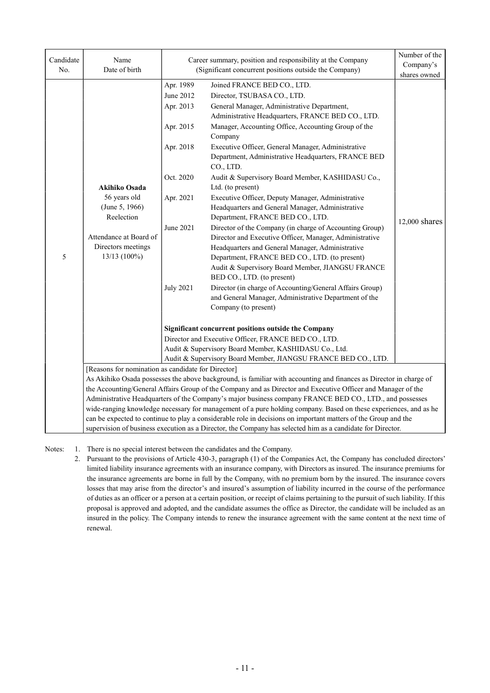| Candidate<br>No. | Name<br>Date of birth                                                                                                                | Career summary, position and responsibility at the Company<br>(Significant concurrent positions outside the Company)                                                                                                                                                                                                                                                                                                                                                                                                                                                                                                                                                                                                                                                                                                                                                                                                                                                                                                                                                                                                                                                   | Number of the<br>Company's<br>shares owned |  |  |
|------------------|--------------------------------------------------------------------------------------------------------------------------------------|------------------------------------------------------------------------------------------------------------------------------------------------------------------------------------------------------------------------------------------------------------------------------------------------------------------------------------------------------------------------------------------------------------------------------------------------------------------------------------------------------------------------------------------------------------------------------------------------------------------------------------------------------------------------------------------------------------------------------------------------------------------------------------------------------------------------------------------------------------------------------------------------------------------------------------------------------------------------------------------------------------------------------------------------------------------------------------------------------------------------------------------------------------------------|--------------------------------------------|--|--|
| 5                | <b>Akihiko Osada</b><br>56 years old<br>(June 5, 1966)<br>Reelection<br>Attendance at Board of<br>Directors meetings<br>13/13 (100%) | Apr. 1989<br>Joined FRANCE BED CO., LTD.<br>June 2012<br>Director, TSUBASA CO., LTD.<br>Apr. 2013<br>General Manager, Administrative Department,<br>Administrative Headquarters, FRANCE BED CO., LTD.<br>Manager, Accounting Office, Accounting Group of the<br>Apr. 2015<br>Company<br>Executive Officer, General Manager, Administrative<br>Apr. 2018<br>Department, Administrative Headquarters, FRANCE BED<br>CO., LTD.<br>Oct. 2020<br>Audit & Supervisory Board Member, KASHIDASU Co.,<br>Ltd. (to present)<br>Apr. 2021<br>Executive Officer, Deputy Manager, Administrative<br>Headquarters and General Manager, Administrative<br>Department, FRANCE BED CO., LTD.<br>June 2021<br>Director of the Company (in charge of Accounting Group)<br>Director and Executive Officer, Manager, Administrative<br>Headquarters and General Manager, Administrative<br>Department, FRANCE BED CO., LTD. (to present)<br>Audit & Supervisory Board Member, JIANGSU FRANCE<br>BED CO., LTD. (to present)<br><b>July 2021</b><br>Director (in charge of Accounting/General Affairs Group)<br>and General Manager, Administrative Department of the<br>Company (to present) | 12,000 shares                              |  |  |
|                  |                                                                                                                                      | Significant concurrent positions outside the Company<br>Director and Executive Officer, FRANCE BED CO., LTD.<br>Audit & Supervisory Board Member, KASHIDASU Co., Ltd.                                                                                                                                                                                                                                                                                                                                                                                                                                                                                                                                                                                                                                                                                                                                                                                                                                                                                                                                                                                                  |                                            |  |  |
|                  | Audit & Supervisory Board Member, JIANGSU FRANCE BED CO., LTD.<br>[Reasons for nomination as candidate for Director]                 |                                                                                                                                                                                                                                                                                                                                                                                                                                                                                                                                                                                                                                                                                                                                                                                                                                                                                                                                                                                                                                                                                                                                                                        |                                            |  |  |
|                  | As Akihiko Osada possesses the above background, is familiar with accounting and finances as Director in charge of                   |                                                                                                                                                                                                                                                                                                                                                                                                                                                                                                                                                                                                                                                                                                                                                                                                                                                                                                                                                                                                                                                                                                                                                                        |                                            |  |  |
|                  |                                                                                                                                      | the Accounting/General Affairs Group of the Company and as Director and Executive Officer and Manager of the                                                                                                                                                                                                                                                                                                                                                                                                                                                                                                                                                                                                                                                                                                                                                                                                                                                                                                                                                                                                                                                           |                                            |  |  |
|                  | Administrative Headquarters of the Company's major business company FRANCE BED CO., LTD., and possesses                              |                                                                                                                                                                                                                                                                                                                                                                                                                                                                                                                                                                                                                                                                                                                                                                                                                                                                                                                                                                                                                                                                                                                                                                        |                                            |  |  |
|                  |                                                                                                                                      | wide-ranging knowledge necessary for management of a pure holding company. Based on these experiences, and as he                                                                                                                                                                                                                                                                                                                                                                                                                                                                                                                                                                                                                                                                                                                                                                                                                                                                                                                                                                                                                                                       |                                            |  |  |
|                  |                                                                                                                                      | can be expected to continue to play a considerable role in decisions on important matters of the Group and the                                                                                                                                                                                                                                                                                                                                                                                                                                                                                                                                                                                                                                                                                                                                                                                                                                                                                                                                                                                                                                                         |                                            |  |  |
|                  |                                                                                                                                      | supervision of business execution as a Director, the Company has selected him as a candidate for Director.                                                                                                                                                                                                                                                                                                                                                                                                                                                                                                                                                                                                                                                                                                                                                                                                                                                                                                                                                                                                                                                             |                                            |  |  |

Notes: 1. There is no special interest between the candidates and the Company.

2. Pursuant to the provisions of Article 430-3, paragraph (1) of the Companies Act, the Company has concluded directors' limited liability insurance agreements with an insurance company, with Directors as insured. The insurance premiums for the insurance agreements are borne in full by the Company, with no premium born by the insured. The insurance covers losses that may arise from the director's and insured's assumption of liability incurred in the course of the performance of duties as an officer or a person at a certain position, or receipt of claims pertaining to the pursuit of such liability. If this proposal is approved and adopted, and the candidate assumes the office as Director, the candidate will be included as an insured in the policy. The Company intends to renew the insurance agreement with the same content at the next time of renewal.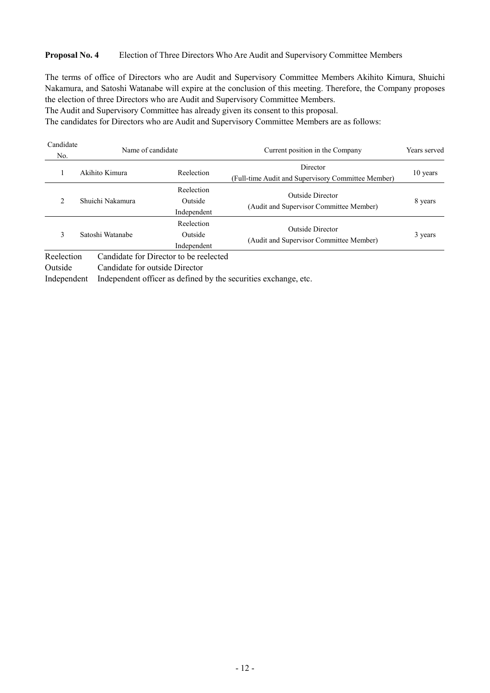#### Proposal No. 4 Election of Three Directors Who Are Audit and Supervisory Committee Members

The terms of office of Directors who are Audit and Supervisory Committee Members Akihito Kimura, Shuichi Nakamura, and Satoshi Watanabe will expire at the conclusion of this meeting. Therefore, the Company proposes the election of three Directors who are Audit and Supervisory Committee Members.

The Audit and Supervisory Committee has already given its consent to this proposal.

The candidates for Directors who are Audit and Supervisory Committee Members are as follows:

| Candidate<br>No.              | Name of candidate              |                                        | Current position in the Company                                    | Years served |
|-------------------------------|--------------------------------|----------------------------------------|--------------------------------------------------------------------|--------------|
|                               | Akihito Kimura                 | Reelection                             | Director<br>(Full-time Audit and Supervisory Committee Member)     | 10 years     |
| $\overline{2}$                | Shuichi Nakamura               | Reelection<br>Outside<br>Independent   | <b>Outside Director</b><br>(Audit and Supervisor Committee Member) | 8 years      |
| 3                             | Satoshi Watanabe               | Reelection<br>Outside<br>Independent   | <b>Outside Director</b><br>(Audit and Supervisor Committee Member) | 3 years      |
| Reelection<br>$Q_{\rm total}$ | Condidate for outside Divestor | Candidate for Director to be reelected |                                                                    |              |

Outside Candidate for outside Director Independent Independent officer as defined by the securities exchange, etc.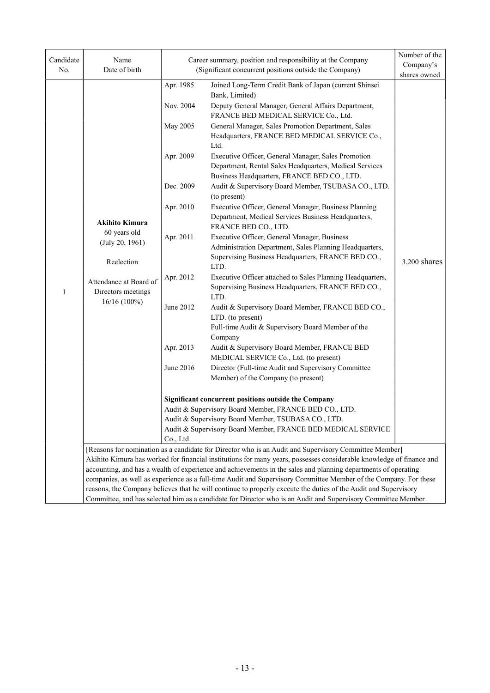| Candidate<br>No. | Name<br>Date of birth                                                                                                                                                                                                                                                                                                                                                                                                                                                                                                                                                                                                                                                                                   | Career summary, position and responsibility at the Company<br>(Significant concurrent positions outside the Company)                                                                                                                                                                                                                                                                                                                                                                                                                                                                                                                                                                                                                                                                                                                                                                                                                                                                                                                                                                                                                                                                                                                                                                                                                                                                                                                                                                                                                                                          | Number of the<br>Company's<br>shares owned |
|------------------|---------------------------------------------------------------------------------------------------------------------------------------------------------------------------------------------------------------------------------------------------------------------------------------------------------------------------------------------------------------------------------------------------------------------------------------------------------------------------------------------------------------------------------------------------------------------------------------------------------------------------------------------------------------------------------------------------------|-------------------------------------------------------------------------------------------------------------------------------------------------------------------------------------------------------------------------------------------------------------------------------------------------------------------------------------------------------------------------------------------------------------------------------------------------------------------------------------------------------------------------------------------------------------------------------------------------------------------------------------------------------------------------------------------------------------------------------------------------------------------------------------------------------------------------------------------------------------------------------------------------------------------------------------------------------------------------------------------------------------------------------------------------------------------------------------------------------------------------------------------------------------------------------------------------------------------------------------------------------------------------------------------------------------------------------------------------------------------------------------------------------------------------------------------------------------------------------------------------------------------------------------------------------------------------------|--------------------------------------------|
| 1                | <b>Akihito Kimura</b><br>60 years old<br>(July 20, 1961)<br>Reelection<br>Attendance at Board of<br>Directors meetings<br>16/16 (100%)                                                                                                                                                                                                                                                                                                                                                                                                                                                                                                                                                                  | Apr. 1985<br>Joined Long-Term Credit Bank of Japan (current Shinsei<br>Bank, Limited)<br>Nov. 2004<br>Deputy General Manager, General Affairs Department,<br>FRANCE BED MEDICAL SERVICE Co., Ltd.<br>May 2005<br>General Manager, Sales Promotion Department, Sales<br>Headquarters, FRANCE BED MEDICAL SERVICE Co.,<br>Ltd.<br>Apr. 2009<br>Executive Officer, General Manager, Sales Promotion<br>Department, Rental Sales Headquarters, Medical Services<br>Business Headquarters, FRANCE BED CO., LTD.<br>Dec. 2009<br>Audit & Supervisory Board Member, TSUBASA CO., LTD.<br>(to present)<br>Executive Officer, General Manager, Business Planning<br>Apr. 2010<br>Department, Medical Services Business Headquarters,<br>FRANCE BED CO., LTD.<br>Executive Officer, General Manager, Business<br>Apr. 2011<br>Administration Department, Sales Planning Headquarters,<br>Supervising Business Headquarters, FRANCE BED CO.,<br>LTD.<br>Executive Officer attached to Sales Planning Headquarters,<br>Apr. 2012<br>Supervising Business Headquarters, FRANCE BED CO.,<br>LTD.<br>June 2012<br>Audit & Supervisory Board Member, FRANCE BED CO.,<br>LTD. (to present)<br>Full-time Audit & Supervisory Board Member of the<br>Company<br>Apr. 2013<br>Audit & Supervisory Board Member, FRANCE BED<br>MEDICAL SERVICE Co., Ltd. (to present)<br>June 2016<br>Director (Full-time Audit and Supervisory Committee<br>Member) of the Company (to present)<br>Significant concurrent positions outside the Company<br>Audit & Supervisory Board Member, FRANCE BED CO., LTD. | 3,200 shares                               |
|                  |                                                                                                                                                                                                                                                                                                                                                                                                                                                                                                                                                                                                                                                                                                         | Audit & Supervisory Board Member, TSUBASA CO., LTD.<br>Audit & Supervisory Board Member, FRANCE BED MEDICAL SERVICE                                                                                                                                                                                                                                                                                                                                                                                                                                                                                                                                                                                                                                                                                                                                                                                                                                                                                                                                                                                                                                                                                                                                                                                                                                                                                                                                                                                                                                                           |                                            |
|                  |                                                                                                                                                                                                                                                                                                                                                                                                                                                                                                                                                                                                                                                                                                         | Co., Ltd.                                                                                                                                                                                                                                                                                                                                                                                                                                                                                                                                                                                                                                                                                                                                                                                                                                                                                                                                                                                                                                                                                                                                                                                                                                                                                                                                                                                                                                                                                                                                                                     |                                            |
|                  | [Reasons for nomination as a candidate for Director who is an Audit and Supervisory Committee Member]<br>Akihito Kimura has worked for financial institutions for many years, possesses considerable knowledge of finance and<br>accounting, and has a wealth of experience and achievements in the sales and planning departments of operating<br>companies, as well as experience as a full-time Audit and Supervisory Committee Member of the Company. For these<br>reasons, the Company believes that he will continue to properly execute the duties of the Audit and Supervisory<br>Committee, and has selected him as a candidate for Director who is an Audit and Supervisory Committee Member. |                                                                                                                                                                                                                                                                                                                                                                                                                                                                                                                                                                                                                                                                                                                                                                                                                                                                                                                                                                                                                                                                                                                                                                                                                                                                                                                                                                                                                                                                                                                                                                               |                                            |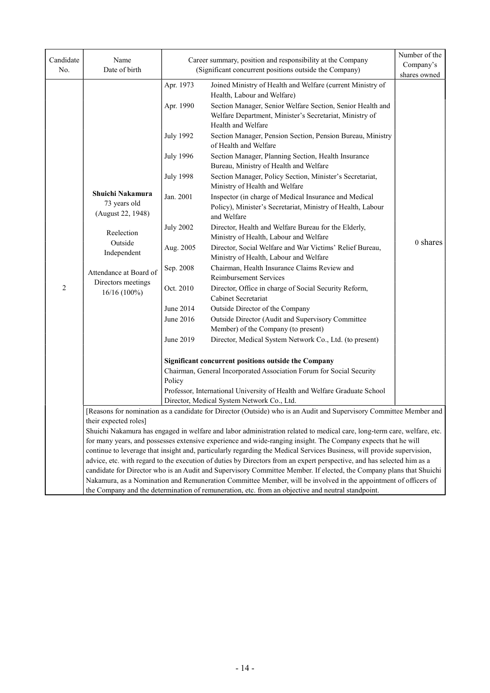| Candidate<br>No. | Name<br>Date of birth                                                                                                                                           | Career summary, position and responsibility at the Company                                                                                                                           |                                                                                                                                                                                                                                                                                                                                                                                                                                                                                                                                                                                                                                                                                                                                                                                                                                                                                                                                                                                                                                                                                                                                                                                                                                  | Number of the<br>Company's |
|------------------|-----------------------------------------------------------------------------------------------------------------------------------------------------------------|--------------------------------------------------------------------------------------------------------------------------------------------------------------------------------------|----------------------------------------------------------------------------------------------------------------------------------------------------------------------------------------------------------------------------------------------------------------------------------------------------------------------------------------------------------------------------------------------------------------------------------------------------------------------------------------------------------------------------------------------------------------------------------------------------------------------------------------------------------------------------------------------------------------------------------------------------------------------------------------------------------------------------------------------------------------------------------------------------------------------------------------------------------------------------------------------------------------------------------------------------------------------------------------------------------------------------------------------------------------------------------------------------------------------------------|----------------------------|
| $\overline{c}$   | Shuichi Nakamura<br>73 years old<br>(August 22, 1948)<br>Reelection<br>Outside<br>Independent<br>Attendance at Board of<br>Directors meetings<br>$16/16(100\%)$ | Apr. 1973<br>Apr. 1990<br><b>July 1992</b><br><b>July 1996</b><br><b>July 1998</b><br>Jan. 2001<br><b>July 2002</b><br>Aug. 2005<br>Sep. 2008<br>Oct. 2010<br>June 2014<br>June 2016 | (Significant concurrent positions outside the Company)<br>Joined Ministry of Health and Welfare (current Ministry of<br>Health, Labour and Welfare)<br>Section Manager, Senior Welfare Section, Senior Health and<br>Welfare Department, Minister's Secretariat, Ministry of<br>Health and Welfare<br>Section Manager, Pension Section, Pension Bureau, Ministry<br>of Health and Welfare<br>Section Manager, Planning Section, Health Insurance<br>Bureau, Ministry of Health and Welfare<br>Section Manager, Policy Section, Minister's Secretariat,<br>Ministry of Health and Welfare<br>Inspector (in charge of Medical Insurance and Medical<br>Policy), Minister's Secretariat, Ministry of Health, Labour<br>and Welfare<br>Director, Health and Welfare Bureau for the Elderly,<br>Ministry of Health, Labour and Welfare<br>Director, Social Welfare and War Victims' Relief Bureau,<br>Ministry of Health, Labour and Welfare<br>Chairman, Health Insurance Claims Review and<br>Reimbursement Services<br>Director, Office in charge of Social Security Reform,<br>Cabinet Secretariat<br>Outside Director of the Company<br>Outside Director (Audit and Supervisory Committee<br>Member) of the Company (to present) | shares owned<br>0 shares   |
|                  |                                                                                                                                                                 | June 2019<br>Policy                                                                                                                                                                  | Director, Medical System Network Co., Ltd. (to present)<br>Significant concurrent positions outside the Company<br>Chairman, General Incorporated Association Forum for Social Security<br>Professor, International University of Health and Welfare Graduate School                                                                                                                                                                                                                                                                                                                                                                                                                                                                                                                                                                                                                                                                                                                                                                                                                                                                                                                                                             |                            |
|                  |                                                                                                                                                                 |                                                                                                                                                                                      | Director, Medical System Network Co., Ltd.                                                                                                                                                                                                                                                                                                                                                                                                                                                                                                                                                                                                                                                                                                                                                                                                                                                                                                                                                                                                                                                                                                                                                                                       |                            |
|                  | their expected roles]                                                                                                                                           |                                                                                                                                                                                      | [Reasons for nomination as a candidate for Director (Outside) who is an Audit and Supervisory Committee Member and<br>Shuichi Nakamura has engaged in welfare and labor administration related to medical care, long-term care, welfare, etc.<br>for many years, and possesses extensive experience and wide-ranging insight. The Company expects that he will<br>continue to leverage that insight and, particularly regarding the Medical Services Business, will provide supervision,<br>advice, etc. with regard to the execution of duties by Directors from an expert perspective, and has selected him as a<br>candidate for Director who is an Audit and Supervisory Committee Member. If elected, the Company plans that Shuichi<br>Nakamura, as a Nomination and Remuneration Committee Member, will be involved in the appointment of officers of<br>the Company and the determination of remuneration, etc. from an objective and neutral standpoint.                                                                                                                                                                                                                                                                |                            |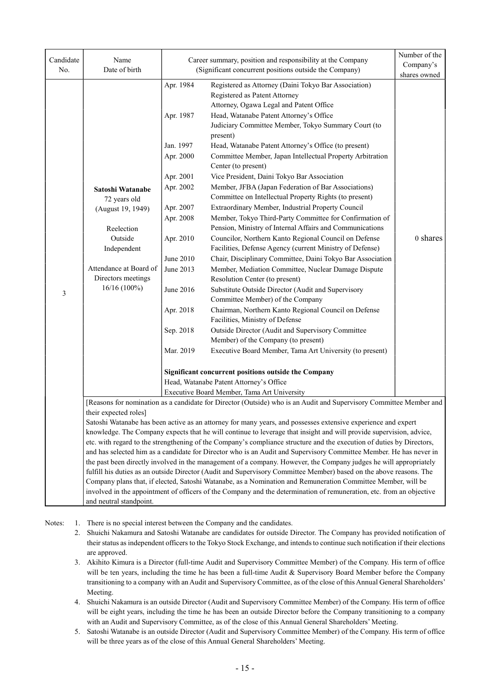| Candidate<br>No. | Name<br>Date of birth                                                                                                                                                                                                                                                                                                                                                                                                                                                                                                                                                                                                                                                                                                                                                                                                                                                                                                                                                                                                      | Career summary, position and responsibility at the Company<br>(Significant concurrent positions outside the Company)                                                                            | Number of the<br>Company's<br>shares owned                                                                                                                                                                                                                                                                                                                                                                                                                                                                                                                                                                                                                                                                                                                                                                                                                                                                                                                                                                                                                                                                                                                                                                                                                                                                                                                                                                                                                         |          |  |  |  |  |
|------------------|----------------------------------------------------------------------------------------------------------------------------------------------------------------------------------------------------------------------------------------------------------------------------------------------------------------------------------------------------------------------------------------------------------------------------------------------------------------------------------------------------------------------------------------------------------------------------------------------------------------------------------------------------------------------------------------------------------------------------------------------------------------------------------------------------------------------------------------------------------------------------------------------------------------------------------------------------------------------------------------------------------------------------|-------------------------------------------------------------------------------------------------------------------------------------------------------------------------------------------------|--------------------------------------------------------------------------------------------------------------------------------------------------------------------------------------------------------------------------------------------------------------------------------------------------------------------------------------------------------------------------------------------------------------------------------------------------------------------------------------------------------------------------------------------------------------------------------------------------------------------------------------------------------------------------------------------------------------------------------------------------------------------------------------------------------------------------------------------------------------------------------------------------------------------------------------------------------------------------------------------------------------------------------------------------------------------------------------------------------------------------------------------------------------------------------------------------------------------------------------------------------------------------------------------------------------------------------------------------------------------------------------------------------------------------------------------------------------------|----------|--|--|--|--|
| 3                | Satoshi Watanabe<br>72 years old<br>(August 19, 1949)<br>Reelection<br>Outside<br>Independent<br>Attendance at Board of<br>Directors meetings<br>16/16 (100%)                                                                                                                                                                                                                                                                                                                                                                                                                                                                                                                                                                                                                                                                                                                                                                                                                                                              | Apr. 1984<br>Apr. 1987<br>Jan. 1997<br>Apr. 2000<br>Apr. 2001<br>Apr. 2002<br>Apr. 2007<br>Apr. 2008<br>Apr. 2010<br>June 2010<br>June 2013<br>June 2016<br>Apr. 2018<br>Sep. 2018<br>Mar. 2019 | Registered as Attorney (Daini Tokyo Bar Association)<br>Registered as Patent Attorney<br>Attorney, Ogawa Legal and Patent Office<br>Head, Watanabe Patent Attorney's Office<br>Judiciary Committee Member, Tokyo Summary Court (to<br>present)<br>Head, Watanabe Patent Attorney's Office (to present)<br>Committee Member, Japan Intellectual Property Arbitration<br>Center (to present)<br>Vice President, Daini Tokyo Bar Association<br>Member, JFBA (Japan Federation of Bar Associations)<br>Committee on Intellectual Property Rights (to present)<br>Extraordinary Member, Industrial Property Council<br>Member, Tokyo Third-Party Committee for Confirmation of<br>Pension, Ministry of Internal Affairs and Communications<br>Councilor, Northern Kanto Regional Council on Defense<br>Facilities, Defense Agency (current Ministry of Defense)<br>Chair, Disciplinary Committee, Daini Tokyo Bar Association<br>Member, Mediation Committee, Nuclear Damage Dispute<br>Resolution Center (to present)<br>Substitute Outside Director (Audit and Supervisory<br>Committee Member) of the Company<br>Chairman, Northern Kanto Regional Council on Defense<br>Facilities, Ministry of Defense<br>Outside Director (Audit and Supervisory Committee<br>Member) of the Company (to present)<br>Executive Board Member, Tama Art University (to present)<br>Significant concurrent positions outside the Company<br>Head, Watanabe Patent Attorney's Office | 0 shares |  |  |  |  |
|                  | Executive Board Member, Tama Art University<br>[Reasons for nomination as a candidate for Director (Outside) who is an Audit and Supervisory Committee Member and                                                                                                                                                                                                                                                                                                                                                                                                                                                                                                                                                                                                                                                                                                                                                                                                                                                          |                                                                                                                                                                                                 |                                                                                                                                                                                                                                                                                                                                                                                                                                                                                                                                                                                                                                                                                                                                                                                                                                                                                                                                                                                                                                                                                                                                                                                                                                                                                                                                                                                                                                                                    |          |  |  |  |  |
|                  | their expected roles]<br>Satoshi Watanabe has been active as an attorney for many years, and possesses extensive experience and expert<br>knowledge. The Company expects that he will continue to leverage that insight and will provide supervision, advice,<br>etc. with regard to the strengthening of the Company's compliance structure and the execution of duties by Directors,<br>and has selected him as a candidate for Director who is an Audit and Supervisory Committee Member. He has never in<br>the past been directly involved in the management of a company. However, the Company judges he will appropriately<br>fulfill his duties as an outside Director (Audit and Supervisory Committee Member) based on the above reasons. The<br>Company plans that, if elected, Satoshi Watanabe, as a Nomination and Remuneration Committee Member, will be<br>involved in the appointment of officers of the Company and the determination of remuneration, etc. from an objective<br>and neutral standpoint. |                                                                                                                                                                                                 |                                                                                                                                                                                                                                                                                                                                                                                                                                                                                                                                                                                                                                                                                                                                                                                                                                                                                                                                                                                                                                                                                                                                                                                                                                                                                                                                                                                                                                                                    |          |  |  |  |  |

Notes: 1. There is no special interest between the Company and the candidates.

- 2. Shuichi Nakamura and Satoshi Watanabe are candidates for outside Director. The Company has provided notification of their status as independent officers to the Tokyo Stock Exchange, and intends to continue such notification if their elections are approved.
- 3. Akihito Kimura is a Director (full-time Audit and Supervisory Committee Member) of the Company. His term of office will be ten years, including the time he has been a full-time Audit & Supervisory Board Member before the Company transitioning to a company with an Audit and Supervisory Committee, as of the close of this Annual General Shareholders' Meeting.
- 4. Shuichi Nakamura is an outside Director (Audit and Supervisory Committee Member) of the Company. His term of office will be eight years, including the time he has been an outside Director before the Company transitioning to a company with an Audit and Supervisory Committee, as of the close of this Annual General Shareholders' Meeting.
- 5. Satoshi Watanabe is an outside Director (Audit and Supervisory Committee Member) of the Company. His term of office will be three years as of the close of this Annual General Shareholders' Meeting.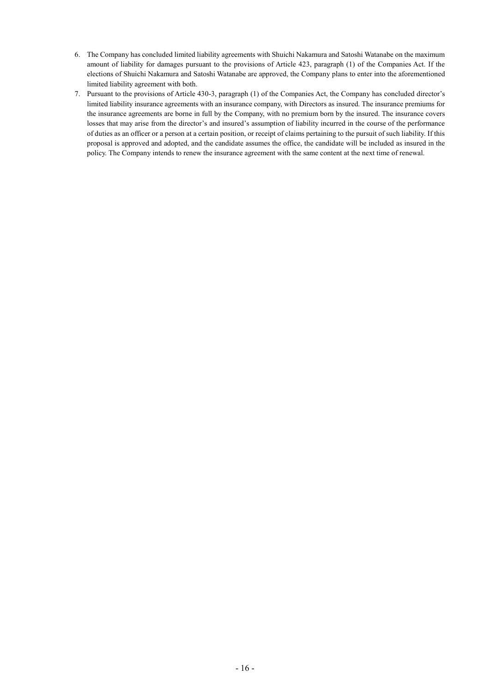- 6. The Company has concluded limited liability agreements with Shuichi Nakamura and Satoshi Watanabe on the maximum amount of liability for damages pursuant to the provisions of Article 423, paragraph (1) of the Companies Act. If the elections of Shuichi Nakamura and Satoshi Watanabe are approved, the Company plans to enter into the aforementioned limited liability agreement with both.
- 7. Pursuant to the provisions of Article 430-3, paragraph (1) of the Companies Act, the Company has concluded director's limited liability insurance agreements with an insurance company, with Directors as insured. The insurance premiums for the insurance agreements are borne in full by the Company, with no premium born by the insured. The insurance covers losses that may arise from the director's and insured's assumption of liability incurred in the course of the performance of duties as an officer or a person at a certain position, or receipt of claims pertaining to the pursuit of such liability. If this proposal is approved and adopted, and the candidate assumes the office, the candidate will be included as insured in the policy. The Company intends to renew the insurance agreement with the same content at the next time of renewal.